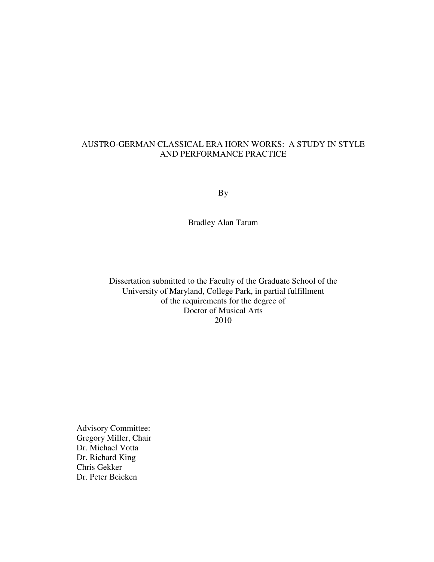#### AUSTRO-GERMAN CLASSICAL ERA HORN WORKS: A STUDY IN STYLE AND PERFORMANCE PRACTICE

By

Bradley Alan Tatum

Dissertation submitted to the Faculty of the Graduate School of the University of Maryland, College Park, in partial fulfillment of the requirements for the degree of Doctor of Musical Arts 2010

Advisory Committee: Gregory Miller, Chair Dr. Michael Votta Dr. Richard King Chris Gekker Dr. Peter Beicken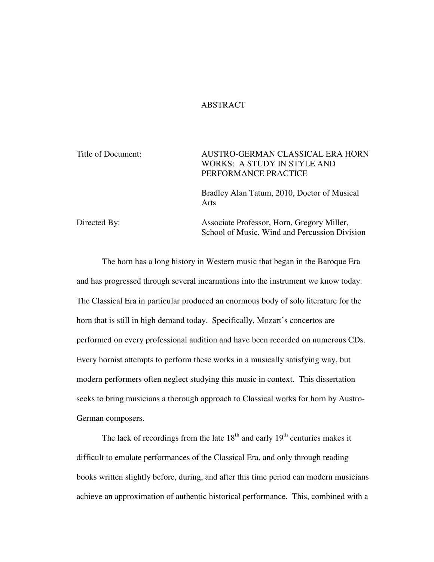#### ABSTRACT

Title of Document: AUSTRO-GERMAN CLASSICAL ERA HORN WORKS: A STUDY IN STYLE AND PERFORMANCE PRACTICE Bradley Alan Tatum, 2010, Doctor of Musical Arts

Directed By: Associate Professor, Horn, Gregory Miller, School of Music, Wind and Percussion Division

 The horn has a long history in Western music that began in the Baroque Era and has progressed through several incarnations into the instrument we know today. The Classical Era in particular produced an enormous body of solo literature for the horn that is still in high demand today. Specifically, Mozart's concertos are performed on every professional audition and have been recorded on numerous CDs. Every hornist attempts to perform these works in a musically satisfying way, but modern performers often neglect studying this music in context. This dissertation seeks to bring musicians a thorough approach to Classical works for horn by Austro-German composers.

The lack of recordings from the late  $18<sup>th</sup>$  and early  $19<sup>th</sup>$  centuries makes it difficult to emulate performances of the Classical Era, and only through reading books written slightly before, during, and after this time period can modern musicians achieve an approximation of authentic historical performance. This, combined with a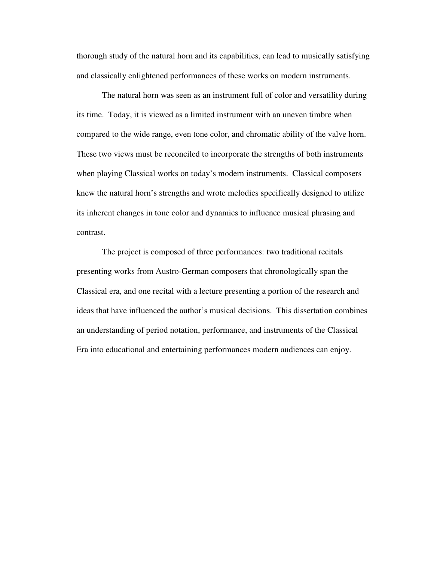thorough study of the natural horn and its capabilities, can lead to musically satisfying and classically enlightened performances of these works on modern instruments.

The natural horn was seen as an instrument full of color and versatility during its time. Today, it is viewed as a limited instrument with an uneven timbre when compared to the wide range, even tone color, and chromatic ability of the valve horn. These two views must be reconciled to incorporate the strengths of both instruments when playing Classical works on today's modern instruments. Classical composers knew the natural horn's strengths and wrote melodies specifically designed to utilize its inherent changes in tone color and dynamics to influence musical phrasing and contrast.

The project is composed of three performances: two traditional recitals presenting works from Austro-German composers that chronologically span the Classical era, and one recital with a lecture presenting a portion of the research and ideas that have influenced the author's musical decisions. This dissertation combines an understanding of period notation, performance, and instruments of the Classical Era into educational and entertaining performances modern audiences can enjoy.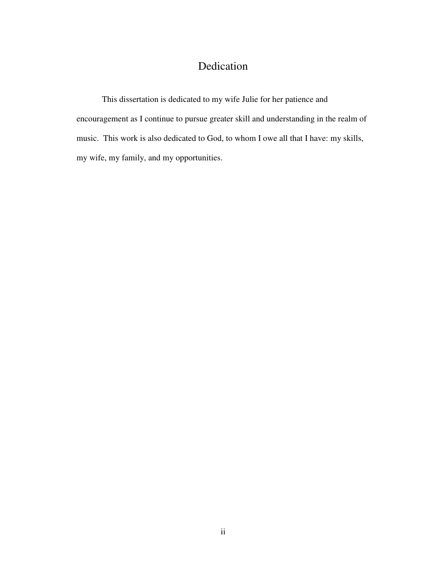## Dedication

This dissertation is dedicated to my wife Julie for her patience and encouragement as I continue to pursue greater skill and understanding in the realm of music. This work is also dedicated to God, to whom I owe all that I have: my skills, my wife, my family, and my opportunities.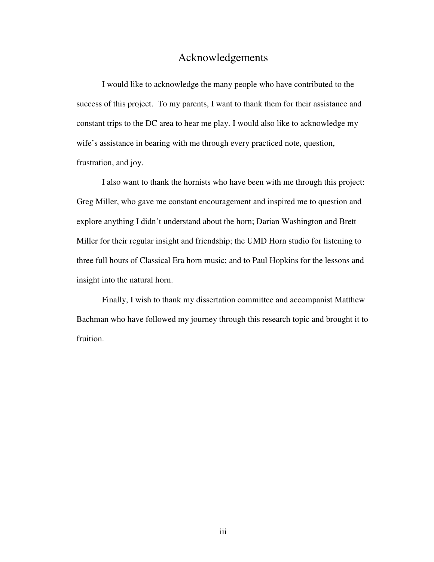## Acknowledgements

I would like to acknowledge the many people who have contributed to the success of this project. To my parents, I want to thank them for their assistance and constant trips to the DC area to hear me play. I would also like to acknowledge my wife's assistance in bearing with me through every practiced note, question, frustration, and joy.

I also want to thank the hornists who have been with me through this project: Greg Miller, who gave me constant encouragement and inspired me to question and explore anything I didn't understand about the horn; Darian Washington and Brett Miller for their regular insight and friendship; the UMD Horn studio for listening to three full hours of Classical Era horn music; and to Paul Hopkins for the lessons and insight into the natural horn.

Finally, I wish to thank my dissertation committee and accompanist Matthew Bachman who have followed my journey through this research topic and brought it to fruition.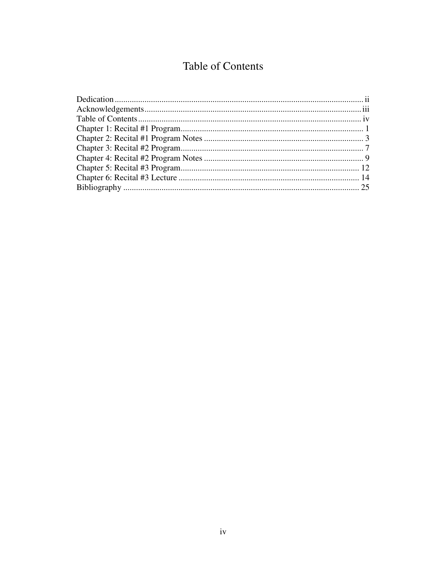## Table of Contents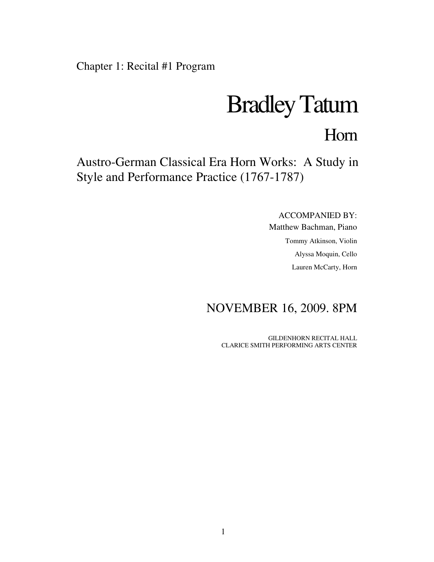Chapter 1: Recital #1 Program

# Bradley Tatum

## Horn

Austro-German Classical Era Horn Works: A Study in Style and Performance Practice (1767-1787)

ACCOMPANIED BY:

Matthew Bachman, Piano Tommy Atkinson, Violin Alyssa Moquin, Cello Lauren McCarty, Horn

## NOVEMBER 16, 2009. 8PM

GILDENHORN RECITAL HALL CLARICE SMITH PERFORMING ARTS CENTER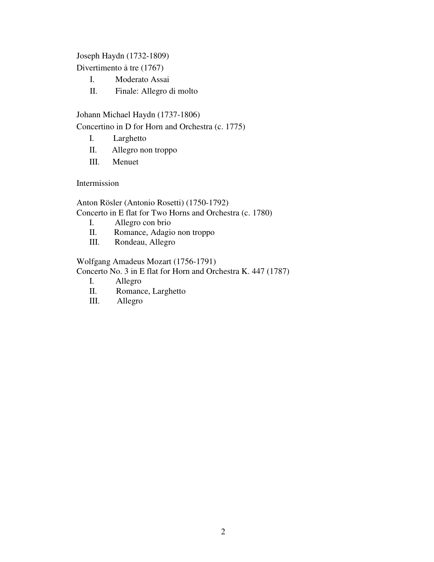Joseph Haydn (1732-1809)

Divertimento ả tre (1767)

- I. Moderato Assai
- II. Finale: Allegro di molto

Johann Michael Haydn (1737-1806)

Concertino in D for Horn and Orchestra (c. 1775)

- I. Larghetto
- II. Allegro non troppo
- III. Menuet

Intermission

Anton Rösler (Antonio Rosetti) (1750-1792) Concerto in E flat for Two Horns and Orchestra (c. 1780)

- I. Allegro con brio<br>II. Romance, Adagio
- II. Romance, Adagio non troppo<br>III. Rondeau, Allegro
- Rondeau, Allegro

Wolfgang Amadeus Mozart (1756-1791)

Concerto No. 3 in E flat for Horn and Orchestra K. 447 (1787)

- I. Allegro
- II. Romance, Larghetto
- III. Allegro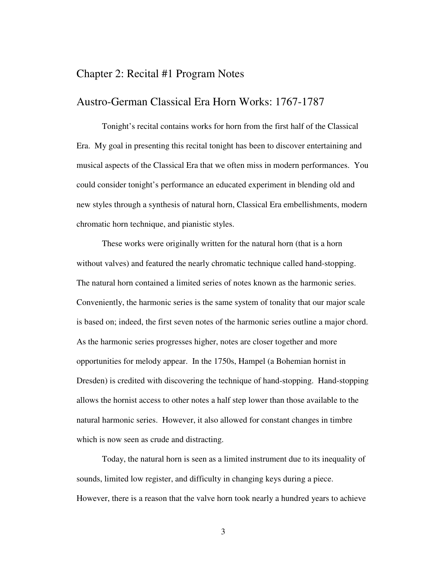### Chapter 2: Recital #1 Program Notes

#### Austro-German Classical Era Horn Works: 1767-1787

Tonight's recital contains works for horn from the first half of the Classical Era. My goal in presenting this recital tonight has been to discover entertaining and musical aspects of the Classical Era that we often miss in modern performances. You could consider tonight's performance an educated experiment in blending old and new styles through a synthesis of natural horn, Classical Era embellishments, modern chromatic horn technique, and pianistic styles.

These works were originally written for the natural horn (that is a horn without valves) and featured the nearly chromatic technique called hand-stopping. The natural horn contained a limited series of notes known as the harmonic series. Conveniently, the harmonic series is the same system of tonality that our major scale is based on; indeed, the first seven notes of the harmonic series outline a major chord. As the harmonic series progresses higher, notes are closer together and more opportunities for melody appear. In the 1750s, Hampel (a Bohemian hornist in Dresden) is credited with discovering the technique of hand-stopping. Hand-stopping allows the hornist access to other notes a half step lower than those available to the natural harmonic series. However, it also allowed for constant changes in timbre which is now seen as crude and distracting.

Today, the natural horn is seen as a limited instrument due to its inequality of sounds, limited low register, and difficulty in changing keys during a piece. However, there is a reason that the valve horn took nearly a hundred years to achieve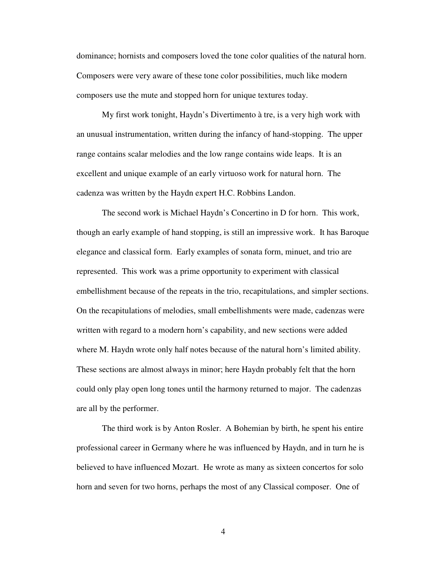dominance; hornists and composers loved the tone color qualities of the natural horn. Composers were very aware of these tone color possibilities, much like modern composers use the mute and stopped horn for unique textures today.

My first work tonight, Haydn's Divertimento à tre, is a very high work with an unusual instrumentation, written during the infancy of hand-stopping. The upper range contains scalar melodies and the low range contains wide leaps. It is an excellent and unique example of an early virtuoso work for natural horn. The cadenza was written by the Haydn expert H.C. Robbins Landon.

The second work is Michael Haydn's Concertino in D for horn. This work, though an early example of hand stopping, is still an impressive work. It has Baroque elegance and classical form. Early examples of sonata form, minuet, and trio are represented. This work was a prime opportunity to experiment with classical embellishment because of the repeats in the trio, recapitulations, and simpler sections. On the recapitulations of melodies, small embellishments were made, cadenzas were written with regard to a modern horn's capability, and new sections were added where M. Haydn wrote only half notes because of the natural horn's limited ability. These sections are almost always in minor; here Haydn probably felt that the horn could only play open long tones until the harmony returned to major. The cadenzas are all by the performer.

The third work is by Anton Rosler. A Bohemian by birth, he spent his entire professional career in Germany where he was influenced by Haydn, and in turn he is believed to have influenced Mozart. He wrote as many as sixteen concertos for solo horn and seven for two horns, perhaps the most of any Classical composer. One of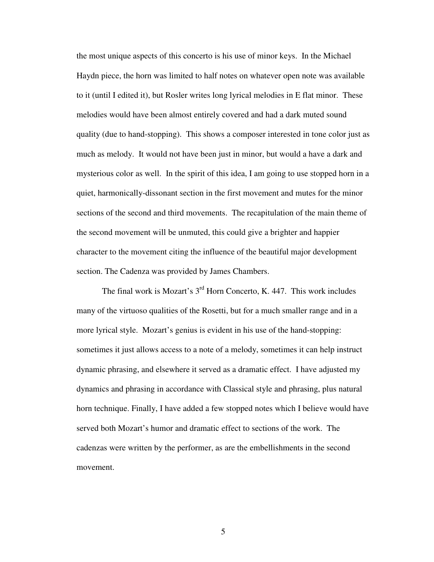the most unique aspects of this concerto is his use of minor keys. In the Michael Haydn piece, the horn was limited to half notes on whatever open note was available to it (until I edited it), but Rosler writes long lyrical melodies in E flat minor. These melodies would have been almost entirely covered and had a dark muted sound quality (due to hand-stopping). This shows a composer interested in tone color just as much as melody. It would not have been just in minor, but would a have a dark and mysterious color as well. In the spirit of this idea, I am going to use stopped horn in a quiet, harmonically-dissonant section in the first movement and mutes for the minor sections of the second and third movements. The recapitulation of the main theme of the second movement will be unmuted, this could give a brighter and happier character to the movement citing the influence of the beautiful major development section. The Cadenza was provided by James Chambers.

The final work is Mozart's 3<sup>rd</sup> Horn Concerto, K. 447. This work includes many of the virtuoso qualities of the Rosetti, but for a much smaller range and in a more lyrical style. Mozart's genius is evident in his use of the hand-stopping: sometimes it just allows access to a note of a melody, sometimes it can help instruct dynamic phrasing, and elsewhere it served as a dramatic effect. I have adjusted my dynamics and phrasing in accordance with Classical style and phrasing, plus natural horn technique. Finally, I have added a few stopped notes which I believe would have served both Mozart's humor and dramatic effect to sections of the work. The cadenzas were written by the performer, as are the embellishments in the second movement.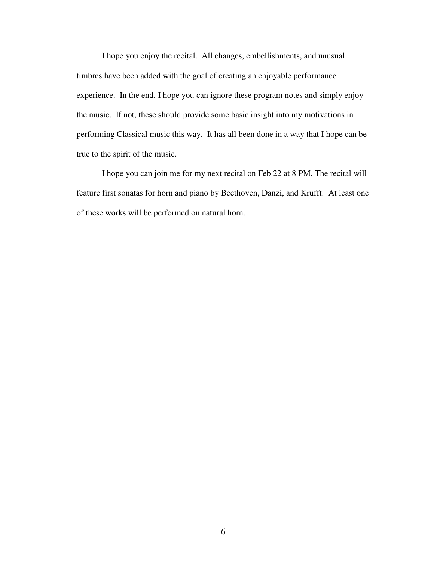I hope you enjoy the recital. All changes, embellishments, and unusual timbres have been added with the goal of creating an enjoyable performance experience. In the end, I hope you can ignore these program notes and simply enjoy the music. If not, these should provide some basic insight into my motivations in performing Classical music this way. It has all been done in a way that I hope can be true to the spirit of the music.

I hope you can join me for my next recital on Feb 22 at 8 PM. The recital will feature first sonatas for horn and piano by Beethoven, Danzi, and Krufft. At least one of these works will be performed on natural horn.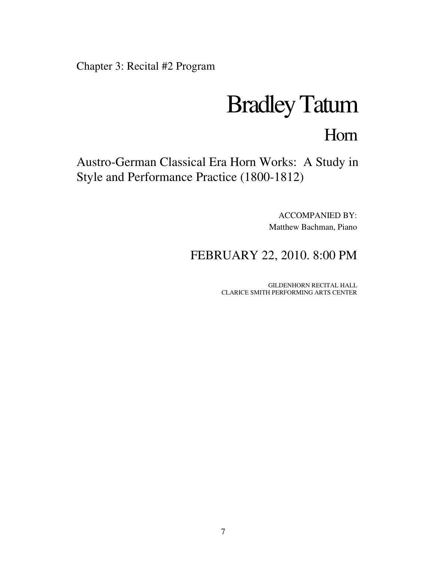Chapter 3: Recital #2 Program

## Bradley Tatum

## Horn

Austro-German Classical Era Horn Works: A Study in Style and Performance Practice (1800-1812)

> ACCOMPANIED BY: Matthew Bachman, Piano

FEBRUARY 22, 2010. 8:00 PM

GILDENHORN RECITAL HALL CLARICE SMITH PERFORMING ARTS CENTER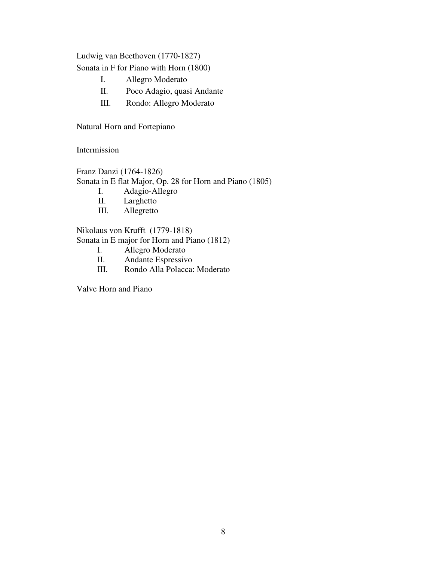Ludwig van Beethoven (1770-1827)

Sonata in F for Piano with Horn (1800)

- I. Allegro Moderato
- II. Poco Adagio, quasi Andante
- III. Rondo: Allegro Moderato

Natural Horn and Fortepiano

Intermission

Franz Danzi (1764-1826) Sonata in E flat Major, Op. 28 for Horn and Piano (1805)

- I. Adagio-Allegro
- II. Larghetto
- III. Allegretto

Nikolaus von Krufft (1779-1818) Sonata in E major for Horn and Piano (1812)

- I. Allegro Moderato
- II. Andante Espressivo
- III. Rondo Alla Polacca: Moderato

Valve Horn and Piano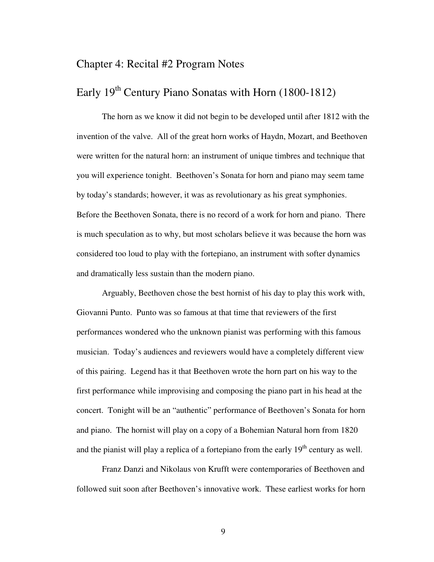## Chapter 4: Recital #2 Program Notes

## Early  $19<sup>th</sup>$  Century Piano Sonatas with Horn (1800-1812)

The horn as we know it did not begin to be developed until after 1812 with the invention of the valve. All of the great horn works of Haydn, Mozart, and Beethoven were written for the natural horn: an instrument of unique timbres and technique that you will experience tonight. Beethoven's Sonata for horn and piano may seem tame by today's standards; however, it was as revolutionary as his great symphonies. Before the Beethoven Sonata, there is no record of a work for horn and piano. There is much speculation as to why, but most scholars believe it was because the horn was considered too loud to play with the fortepiano, an instrument with softer dynamics and dramatically less sustain than the modern piano.

Arguably, Beethoven chose the best hornist of his day to play this work with, Giovanni Punto. Punto was so famous at that time that reviewers of the first performances wondered who the unknown pianist was performing with this famous musician. Today's audiences and reviewers would have a completely different view of this pairing. Legend has it that Beethoven wrote the horn part on his way to the first performance while improvising and composing the piano part in his head at the concert. Tonight will be an "authentic" performance of Beethoven's Sonata for horn and piano. The hornist will play on a copy of a Bohemian Natural horn from 1820 and the pianist will play a replica of a fortepiano from the early  $19<sup>th</sup>$  century as well.

 Franz Danzi and Nikolaus von Krufft were contemporaries of Beethoven and followed suit soon after Beethoven's innovative work. These earliest works for horn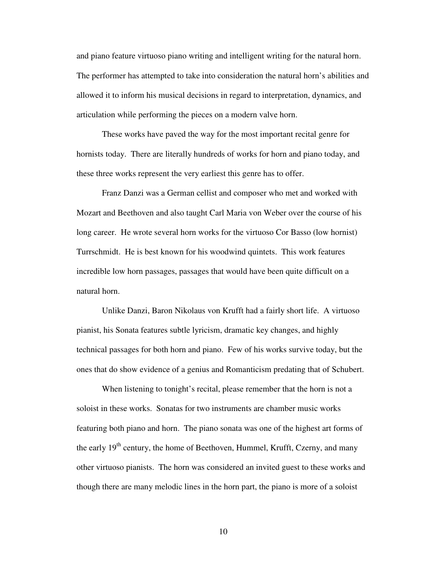and piano feature virtuoso piano writing and intelligent writing for the natural horn. The performer has attempted to take into consideration the natural horn's abilities and allowed it to inform his musical decisions in regard to interpretation, dynamics, and articulation while performing the pieces on a modern valve horn.

 These works have paved the way for the most important recital genre for hornists today. There are literally hundreds of works for horn and piano today, and these three works represent the very earliest this genre has to offer.

 Franz Danzi was a German cellist and composer who met and worked with Mozart and Beethoven and also taught Carl Maria von Weber over the course of his long career. He wrote several horn works for the virtuoso Cor Basso (low hornist) Turrschmidt. He is best known for his woodwind quintets. This work features incredible low horn passages, passages that would have been quite difficult on a natural horn.

 Unlike Danzi, Baron Nikolaus von Krufft had a fairly short life. A virtuoso pianist, his Sonata features subtle lyricism, dramatic key changes, and highly technical passages for both horn and piano. Few of his works survive today, but the ones that do show evidence of a genius and Romanticism predating that of Schubert.

 When listening to tonight's recital, please remember that the horn is not a soloist in these works. Sonatas for two instruments are chamber music works featuring both piano and horn. The piano sonata was one of the highest art forms of the early  $19<sup>th</sup>$  century, the home of Beethoven, Hummel, Krufft, Czerny, and many other virtuoso pianists. The horn was considered an invited guest to these works and though there are many melodic lines in the horn part, the piano is more of a soloist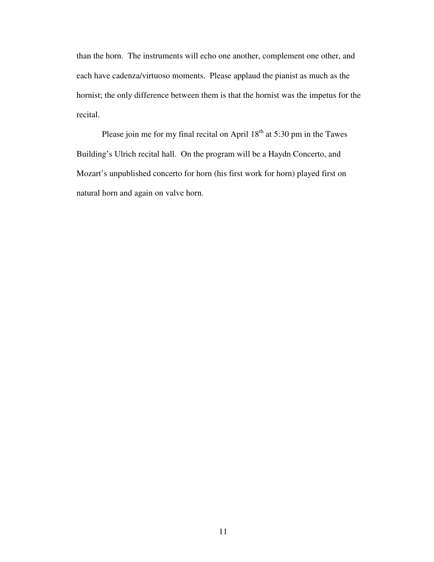than the horn. The instruments will echo one another, complement one other, and each have cadenza/virtuoso moments. Please applaud the pianist as much as the hornist; the only difference between them is that the hornist was the impetus for the recital.

Please join me for my final recital on April  $18<sup>th</sup>$  at 5:30 pm in the Tawes Building's Ulrich recital hall. On the program will be a Haydn Concerto, and Mozart's unpublished concerto for horn (his first work for horn) played first on natural horn and again on valve horn.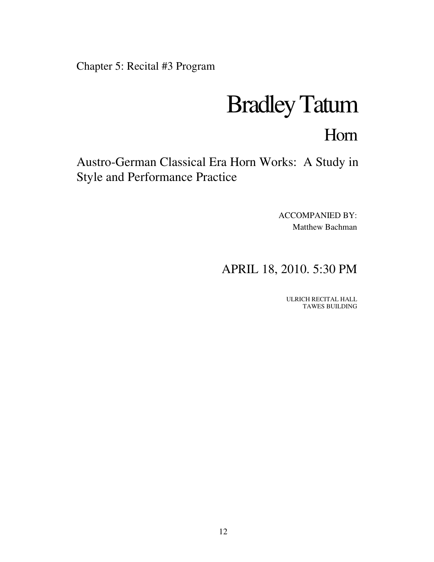Chapter 5: Recital #3 Program

## Bradley Tatum

## Horn

Austro-German Classical Era Horn Works: A Study in Style and Performance Practice

> ACCOMPANIED BY: Matthew Bachman

## APRIL 18, 2010. 5:30 PM

ULRICH RECITAL HALL TAWES BUILDING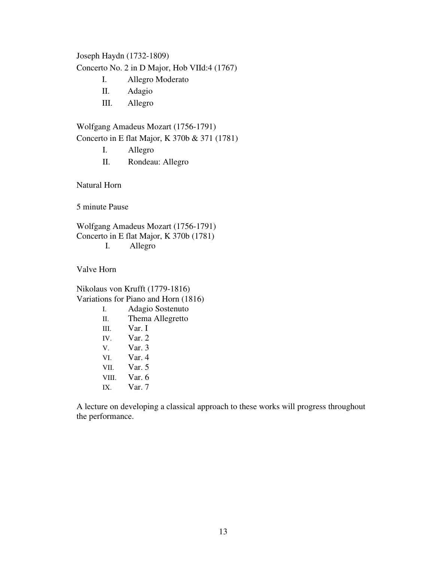Joseph Haydn (1732-1809)

Concerto No. 2 in D Major, Hob VIId:4 (1767)

- I. Allegro Moderato
- II. Adagio
- III. Allegro

Wolfgang Amadeus Mozart (1756-1791) Concerto in E flat Major, K 370b & 371 (1781)

- I. Allegro
- II. Rondeau: Allegro

Natural Horn

5 minute Pause

Wolfgang Amadeus Mozart (1756-1791) Concerto in E flat Major, K 370b (1781) I. Allegro

Valve Horn

Nikolaus von Krufft (1779-1816) Variations for Piano and Horn (1816) I. Adagio Sostenuto II. Thema Allegretto III. Var. I IV. Var. 2 V. Var. 3 VI. Var. 4 VII. Var. 5 VIII. Var. 6 IX. Var. 7

A lecture on developing a classical approach to these works will progress throughout the performance.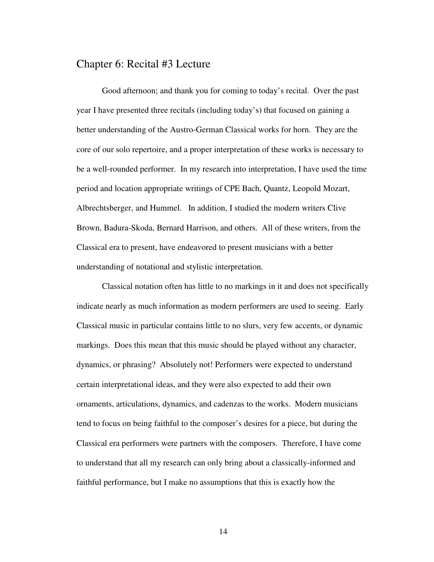### Chapter 6: Recital #3 Lecture

Good afternoon; and thank you for coming to today's recital. Over the past year I have presented three recitals (including today's) that focused on gaining a better understanding of the Austro-German Classical works for horn. They are the core of our solo repertoire, and a proper interpretation of these works is necessary to be a well-rounded performer. In my research into interpretation, I have used the time period and location appropriate writings of CPE Bach, Quantz, Leopold Mozart, Albrechtsberger, and Hummel. In addition, I studied the modern writers Clive Brown, Badura-Skoda, Bernard Harrison, and others. All of these writers, from the Classical era to present, have endeavored to present musicians with a better understanding of notational and stylistic interpretation.

Classical notation often has little to no markings in it and does not specifically indicate nearly as much information as modern performers are used to seeing. Early Classical music in particular contains little to no slurs, very few accents, or dynamic markings. Does this mean that this music should be played without any character, dynamics, or phrasing? Absolutely not! Performers were expected to understand certain interpretational ideas, and they were also expected to add their own ornaments, articulations, dynamics, and cadenzas to the works. Modern musicians tend to focus on being faithful to the composer's desires for a piece, but during the Classical era performers were partners with the composers. Therefore, I have come to understand that all my research can only bring about a classically-informed and faithful performance, but I make no assumptions that this is exactly how the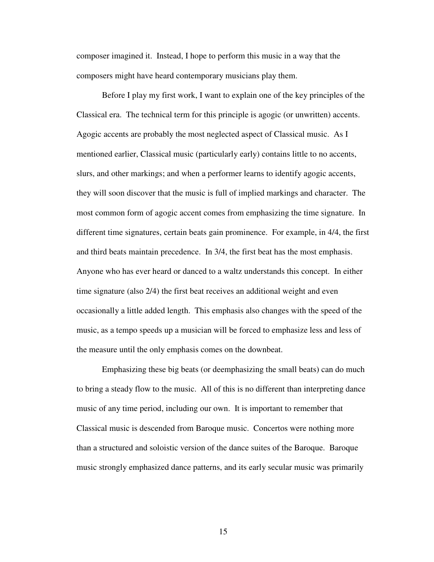composer imagined it. Instead, I hope to perform this music in a way that the composers might have heard contemporary musicians play them.

Before I play my first work, I want to explain one of the key principles of the Classical era. The technical term for this principle is agogic (or unwritten) accents. Agogic accents are probably the most neglected aspect of Classical music. As I mentioned earlier, Classical music (particularly early) contains little to no accents, slurs, and other markings; and when a performer learns to identify agogic accents, they will soon discover that the music is full of implied markings and character. The most common form of agogic accent comes from emphasizing the time signature. In different time signatures, certain beats gain prominence. For example, in 4/4, the first and third beats maintain precedence. In 3/4, the first beat has the most emphasis. Anyone who has ever heard or danced to a waltz understands this concept. In either time signature (also 2/4) the first beat receives an additional weight and even occasionally a little added length. This emphasis also changes with the speed of the music, as a tempo speeds up a musician will be forced to emphasize less and less of the measure until the only emphasis comes on the downbeat.

Emphasizing these big beats (or deemphasizing the small beats) can do much to bring a steady flow to the music. All of this is no different than interpreting dance music of any time period, including our own. It is important to remember that Classical music is descended from Baroque music. Concertos were nothing more than a structured and soloistic version of the dance suites of the Baroque. Baroque music strongly emphasized dance patterns, and its early secular music was primarily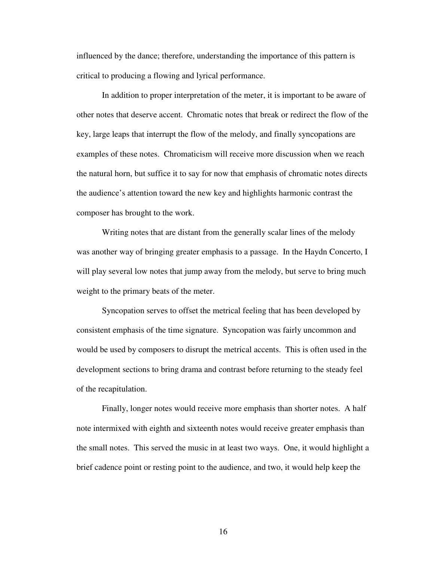influenced by the dance; therefore, understanding the importance of this pattern is critical to producing a flowing and lyrical performance.

In addition to proper interpretation of the meter, it is important to be aware of other notes that deserve accent. Chromatic notes that break or redirect the flow of the key, large leaps that interrupt the flow of the melody, and finally syncopations are examples of these notes. Chromaticism will receive more discussion when we reach the natural horn, but suffice it to say for now that emphasis of chromatic notes directs the audience's attention toward the new key and highlights harmonic contrast the composer has brought to the work.

Writing notes that are distant from the generally scalar lines of the melody was another way of bringing greater emphasis to a passage. In the Haydn Concerto, I will play several low notes that jump away from the melody, but serve to bring much weight to the primary beats of the meter.

Syncopation serves to offset the metrical feeling that has been developed by consistent emphasis of the time signature. Syncopation was fairly uncommon and would be used by composers to disrupt the metrical accents. This is often used in the development sections to bring drama and contrast before returning to the steady feel of the recapitulation.

Finally, longer notes would receive more emphasis than shorter notes. A half note intermixed with eighth and sixteenth notes would receive greater emphasis than the small notes. This served the music in at least two ways. One, it would highlight a brief cadence point or resting point to the audience, and two, it would help keep the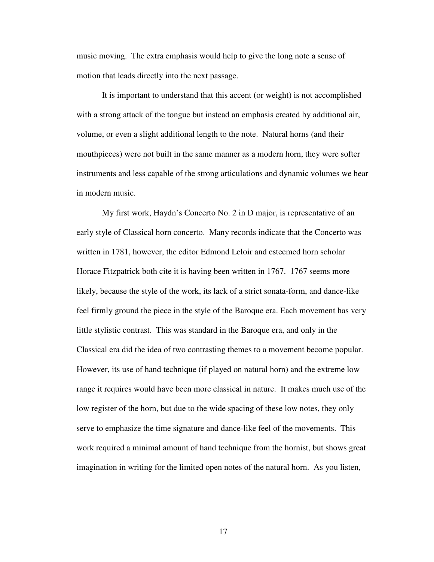music moving. The extra emphasis would help to give the long note a sense of motion that leads directly into the next passage.

It is important to understand that this accent (or weight) is not accomplished with a strong attack of the tongue but instead an emphasis created by additional air, volume, or even a slight additional length to the note. Natural horns (and their mouthpieces) were not built in the same manner as a modern horn, they were softer instruments and less capable of the strong articulations and dynamic volumes we hear in modern music.

My first work, Haydn's Concerto No. 2 in D major, is representative of an early style of Classical horn concerto. Many records indicate that the Concerto was written in 1781, however, the editor Edmond Leloir and esteemed horn scholar Horace Fitzpatrick both cite it is having been written in 1767. 1767 seems more likely, because the style of the work, its lack of a strict sonata-form, and dance-like feel firmly ground the piece in the style of the Baroque era. Each movement has very little stylistic contrast. This was standard in the Baroque era, and only in the Classical era did the idea of two contrasting themes to a movement become popular. However, its use of hand technique (if played on natural horn) and the extreme low range it requires would have been more classical in nature. It makes much use of the low register of the horn, but due to the wide spacing of these low notes, they only serve to emphasize the time signature and dance-like feel of the movements. This work required a minimal amount of hand technique from the hornist, but shows great imagination in writing for the limited open notes of the natural horn. As you listen,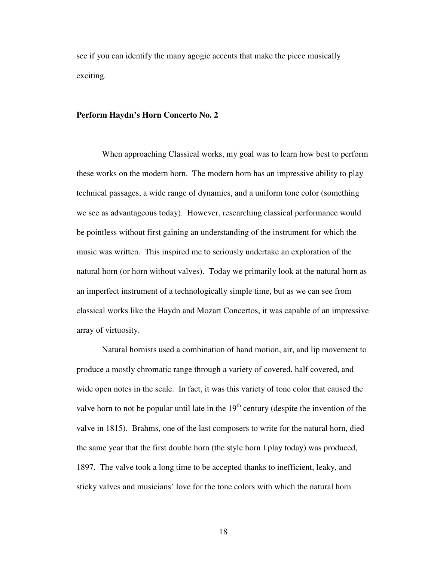see if you can identify the many agogic accents that make the piece musically exciting.

#### **Perform Haydn's Horn Concerto No. 2**

When approaching Classical works, my goal was to learn how best to perform these works on the modern horn. The modern horn has an impressive ability to play technical passages, a wide range of dynamics, and a uniform tone color (something we see as advantageous today). However, researching classical performance would be pointless without first gaining an understanding of the instrument for which the music was written. This inspired me to seriously undertake an exploration of the natural horn (or horn without valves). Today we primarily look at the natural horn as an imperfect instrument of a technologically simple time, but as we can see from classical works like the Haydn and Mozart Concertos, it was capable of an impressive array of virtuosity.

 Natural hornists used a combination of hand motion, air, and lip movement to produce a mostly chromatic range through a variety of covered, half covered, and wide open notes in the scale. In fact, it was this variety of tone color that caused the valve horn to not be popular until late in the  $19<sup>th</sup>$  century (despite the invention of the valve in 1815). Brahms, one of the last composers to write for the natural horn, died the same year that the first double horn (the style horn I play today) was produced, 1897. The valve took a long time to be accepted thanks to inefficient, leaky, and sticky valves and musicians' love for the tone colors with which the natural horn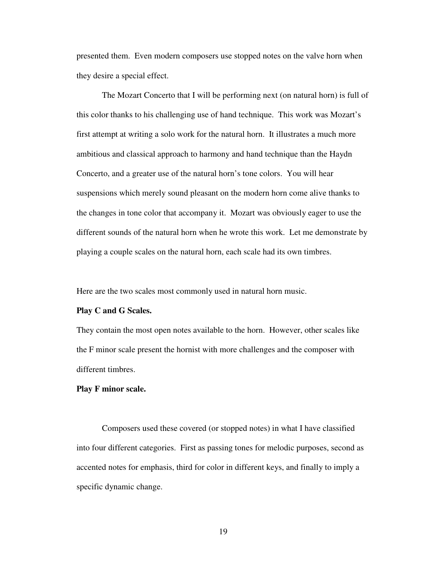presented them. Even modern composers use stopped notes on the valve horn when they desire a special effect.

The Mozart Concerto that I will be performing next (on natural horn) is full of this color thanks to his challenging use of hand technique. This work was Mozart's first attempt at writing a solo work for the natural horn. It illustrates a much more ambitious and classical approach to harmony and hand technique than the Haydn Concerto, and a greater use of the natural horn's tone colors. You will hear suspensions which merely sound pleasant on the modern horn come alive thanks to the changes in tone color that accompany it. Mozart was obviously eager to use the different sounds of the natural horn when he wrote this work. Let me demonstrate by playing a couple scales on the natural horn, each scale had its own timbres.

Here are the two scales most commonly used in natural horn music.

#### **Play C and G Scales.**

They contain the most open notes available to the horn. However, other scales like the F minor scale present the hornist with more challenges and the composer with different timbres.

#### **Play F minor scale.**

Composers used these covered (or stopped notes) in what I have classified into four different categories. First as passing tones for melodic purposes, second as accented notes for emphasis, third for color in different keys, and finally to imply a specific dynamic change.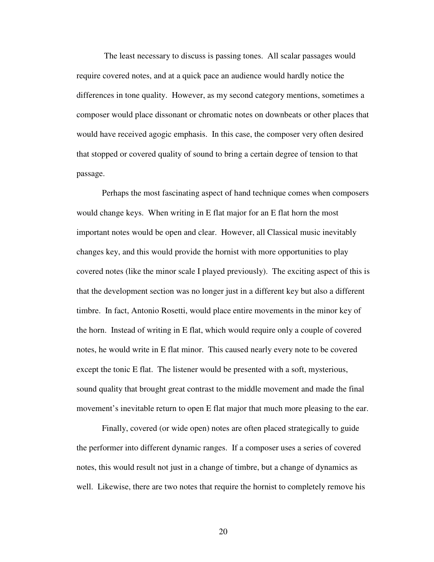The least necessary to discuss is passing tones. All scalar passages would require covered notes, and at a quick pace an audience would hardly notice the differences in tone quality. However, as my second category mentions, sometimes a composer would place dissonant or chromatic notes on downbeats or other places that would have received agogic emphasis. In this case, the composer very often desired that stopped or covered quality of sound to bring a certain degree of tension to that passage.

 Perhaps the most fascinating aspect of hand technique comes when composers would change keys. When writing in E flat major for an E flat horn the most important notes would be open and clear. However, all Classical music inevitably changes key, and this would provide the hornist with more opportunities to play covered notes (like the minor scale I played previously). The exciting aspect of this is that the development section was no longer just in a different key but also a different timbre. In fact, Antonio Rosetti, would place entire movements in the minor key of the horn. Instead of writing in E flat, which would require only a couple of covered notes, he would write in E flat minor. This caused nearly every note to be covered except the tonic E flat. The listener would be presented with a soft, mysterious, sound quality that brought great contrast to the middle movement and made the final movement's inevitable return to open E flat major that much more pleasing to the ear.

 Finally, covered (or wide open) notes are often placed strategically to guide the performer into different dynamic ranges. If a composer uses a series of covered notes, this would result not just in a change of timbre, but a change of dynamics as well. Likewise, there are two notes that require the hornist to completely remove his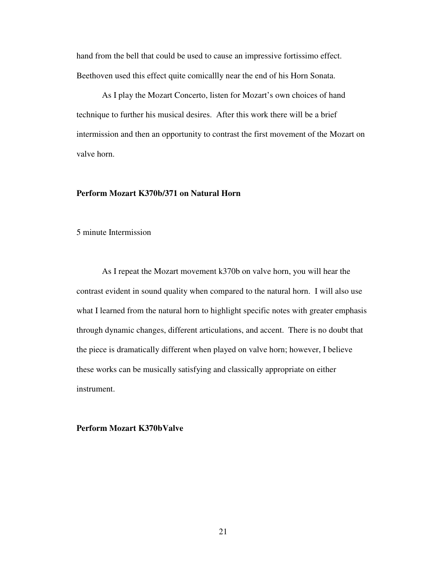hand from the bell that could be used to cause an impressive fortissimo effect. Beethoven used this effect quite comicallly near the end of his Horn Sonata.

As I play the Mozart Concerto, listen for Mozart's own choices of hand technique to further his musical desires. After this work there will be a brief intermission and then an opportunity to contrast the first movement of the Mozart on valve horn.

#### **Perform Mozart K370b/371 on Natural Horn**

5 minute Intermission

As I repeat the Mozart movement k370b on valve horn, you will hear the contrast evident in sound quality when compared to the natural horn. I will also use what I learned from the natural horn to highlight specific notes with greater emphasis through dynamic changes, different articulations, and accent. There is no doubt that the piece is dramatically different when played on valve horn; however, I believe these works can be musically satisfying and classically appropriate on either instrument.

**Perform Mozart K370bValve**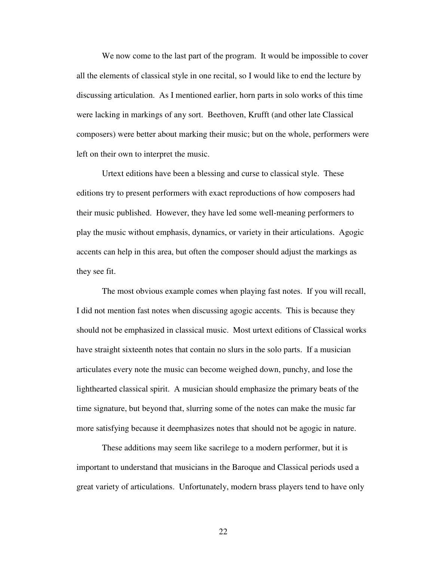We now come to the last part of the program. It would be impossible to cover all the elements of classical style in one recital, so I would like to end the lecture by discussing articulation. As I mentioned earlier, horn parts in solo works of this time were lacking in markings of any sort. Beethoven, Krufft (and other late Classical composers) were better about marking their music; but on the whole, performers were left on their own to interpret the music.

 Urtext editions have been a blessing and curse to classical style. These editions try to present performers with exact reproductions of how composers had their music published. However, they have led some well-meaning performers to play the music without emphasis, dynamics, or variety in their articulations. Agogic accents can help in this area, but often the composer should adjust the markings as they see fit.

 The most obvious example comes when playing fast notes. If you will recall, I did not mention fast notes when discussing agogic accents. This is because they should not be emphasized in classical music. Most urtext editions of Classical works have straight sixteenth notes that contain no slurs in the solo parts. If a musician articulates every note the music can become weighed down, punchy, and lose the lighthearted classical spirit. A musician should emphasize the primary beats of the time signature, but beyond that, slurring some of the notes can make the music far more satisfying because it deemphasizes notes that should not be agogic in nature.

These additions may seem like sacrilege to a modern performer, but it is important to understand that musicians in the Baroque and Classical periods used a great variety of articulations. Unfortunately, modern brass players tend to have only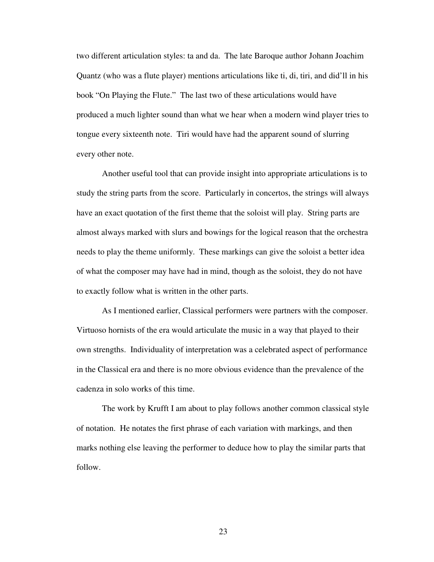two different articulation styles: ta and da. The late Baroque author Johann Joachim Quantz (who was a flute player) mentions articulations like ti, di, tiri, and did'll in his book "On Playing the Flute." The last two of these articulations would have produced a much lighter sound than what we hear when a modern wind player tries to tongue every sixteenth note. Tiri would have had the apparent sound of slurring every other note.

 Another useful tool that can provide insight into appropriate articulations is to study the string parts from the score. Particularly in concertos, the strings will always have an exact quotation of the first theme that the soloist will play. String parts are almost always marked with slurs and bowings for the logical reason that the orchestra needs to play the theme uniformly. These markings can give the soloist a better idea of what the composer may have had in mind, though as the soloist, they do not have to exactly follow what is written in the other parts.

 As I mentioned earlier, Classical performers were partners with the composer. Virtuoso hornists of the era would articulate the music in a way that played to their own strengths. Individuality of interpretation was a celebrated aspect of performance in the Classical era and there is no more obvious evidence than the prevalence of the cadenza in solo works of this time.

 The work by Krufft I am about to play follows another common classical style of notation. He notates the first phrase of each variation with markings, and then marks nothing else leaving the performer to deduce how to play the similar parts that follow.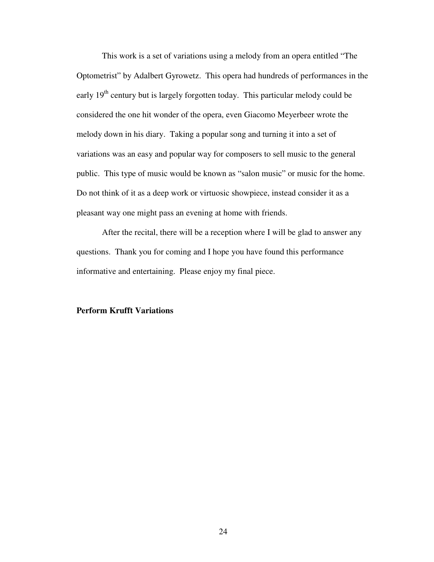This work is a set of variations using a melody from an opera entitled "The Optometrist" by Adalbert Gyrowetz. This opera had hundreds of performances in the early  $19<sup>th</sup>$  century but is largely forgotten today. This particular melody could be considered the one hit wonder of the opera, even Giacomo Meyerbeer wrote the melody down in his diary. Taking a popular song and turning it into a set of variations was an easy and popular way for composers to sell music to the general public. This type of music would be known as "salon music" or music for the home. Do not think of it as a deep work or virtuosic showpiece, instead consider it as a pleasant way one might pass an evening at home with friends.

After the recital, there will be a reception where I will be glad to answer any questions. Thank you for coming and I hope you have found this performance informative and entertaining. Please enjoy my final piece.

#### **Perform Krufft Variations**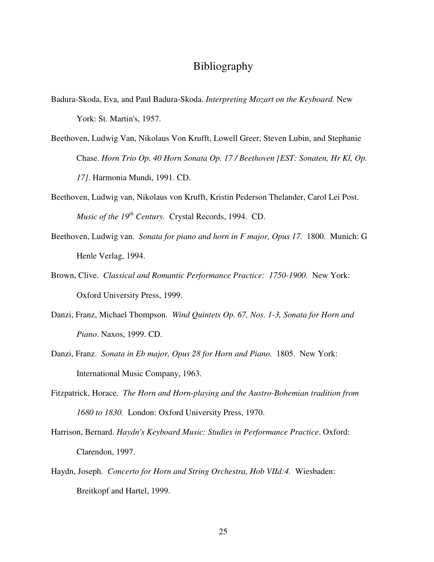## Bibliography

- Badura-Skoda, Eva, and Paul Badura-Skoda. *Interpreting Mozart on the Keyboard*. New York: St. Martin's, 1957.
- Beethoven, Ludwig Van, Nikolaus Von Krufft, Lowell Greer, Steven Lubin, and Stephanie Chase. *Horn Trio Op. 40 Horn Sonata Op. 17 / Beethoven [EST: Sonaten, Hr Kl, Op. 17]*. Harmonia Mundi, 1991. CD.
- Beethoven, Ludwig van, Nikolaus von Krufft, Kristin Pederson Thelander, Carol Lei Post. *Music of the 19th Century.* Crystal Records, 1994. CD.
- Beethoven, Ludwig van. *Sonata for piano and horn in F major, Opus 17.* 1800. Munich: G Henle Verlag, 1994.
- Brown, Clive. *Classical and Romantic Performance Practice: 1750-1900*. New York: Oxford University Press, 1999.
- Danzi, Franz, Michael Thompson. *Wind Quintets Op. 67, Nos. 1-3, Sonata for Horn and Piano*. Naxos, 1999. CD.
- Danzi, Franz. *Sonata in Eb major, Opus 28 for Horn and Piano.* 1805. New York: International Music Company, 1963.
- Fitzpatrick, Horace. *The Horn and Horn-playing and the Austro-Bohemian tradition from 1680 to 1830.* London: Oxford University Press, 1970.
- Harrison, Bernard. *Haydn's Keyboard Music: Studies in Performance Practice*. Oxford: Clarendon, 1997.
- Haydn, Joseph. *Concerto for Horn and String Orchestra, Hob VIId:4.* Wiesbaden: Breitkopf and Hartel, 1999.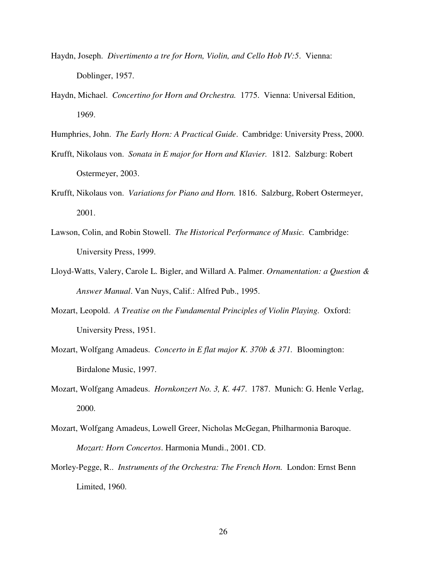- Haydn, Joseph. *Divertimento a tre for Horn, Violin, and Cello Hob IV:5*. Vienna: Doblinger, 1957.
- Haydn, Michael. *Concertino for Horn and Orchestra.* 1775. Vienna: Universal Edition, 1969.
- Humphries, John. *The Early Horn: A Practical Guide*. Cambridge: University Press, 2000.
- Krufft, Nikolaus von. *Sonata in E major for Horn and Klavier.* 1812. Salzburg: Robert Ostermeyer, 2003.
- Krufft, Nikolaus von. *Variations for Piano and Horn.* 1816. Salzburg, Robert Ostermeyer, 2001.
- Lawson, Colin, and Robin Stowell. *The Historical Performance of Music.* Cambridge: University Press, 1999.
- Lloyd-Watts, Valery, Carole L. Bigler, and Willard A. Palmer. *Ornamentation: a Question & Answer Manual*. Van Nuys, Calif.: Alfred Pub., 1995.
- Mozart, Leopold. *A Treatise on the Fundamental Principles of Violin Playing.* Oxford: University Press, 1951.
- Mozart, Wolfgang Amadeus. *Concerto in E flat major K. 370b & 371.* Bloomington: Birdalone Music, 1997.
- Mozart, Wolfgang Amadeus. *Hornkonzert No. 3, K. 447*. 1787. Munich: G. Henle Verlag, 2000.
- Mozart, Wolfgang Amadeus, Lowell Greer, Nicholas McGegan, Philharmonia Baroque. *Mozart: Horn Concertos*. Harmonia Mundi., 2001. CD.
- Morley-Pegge, R.. *Instruments of the Orchestra: The French Horn.* London: Ernst Benn Limited, 1960.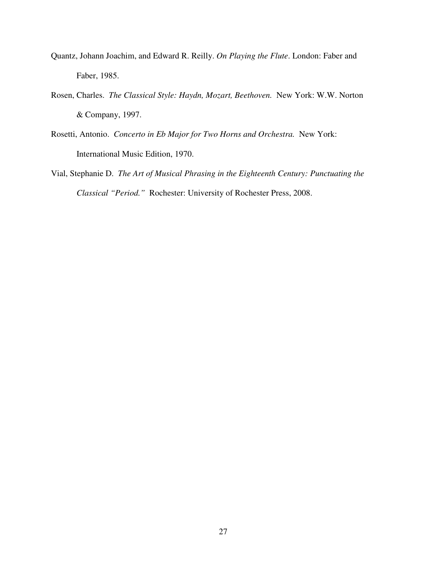- Quantz, Johann Joachim, and Edward R. Reilly. *On Playing the Flute*. London: Faber and Faber, 1985.
- Rosen, Charles. *The Classical Style: Haydn, Mozart, Beethoven.* New York: W.W. Norton & Company, 1997.
- Rosetti, Antonio. *Concerto in Eb Major for Two Horns and Orchestra.* New York: International Music Edition, 1970.
- Vial, Stephanie D. *The Art of Musical Phrasing in the Eighteenth Century: Punctuating the Classical "Period."* Rochester: University of Rochester Press, 2008.